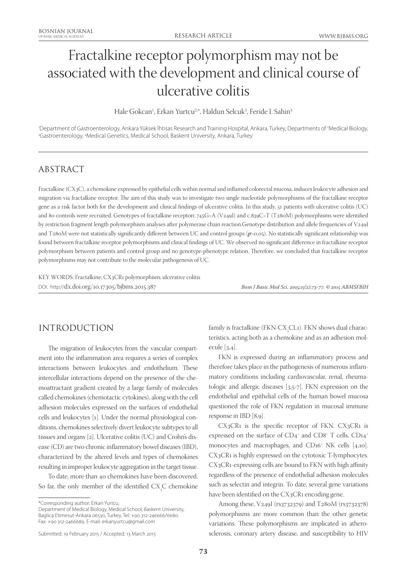# Fractalkine receptor polymorphism may not be associated with the development and clinical course of ulcerative colitis

Hale Gokcan<sup>1</sup>, Erkan Yurtcu<sup>2,\*</sup>, Haldun Selcuk<sup>3</sup>, Feride I. Sahin<sup>4</sup>

'Department of Gastroenterology, Ankara Yüksek İhtisas Research and Training Hospital, Ankara, Turkey, Departments of <sup>2</sup>Medical Biology,<br><sup>3Gastroenterology, 4Medical Genetics, Medical School, Baskent University, Ankara, T</sup> Gastroenterology, 4 Medical Genetics, Medical School, Baskent University, Ankara, Turkey

# ABSTRACT

Fractalkine (CX3C), a chemokine expressed by epithelial cells within normal and inflamed colorectal mucosa, induces leukocyte adhesion and migration via fractalkine receptor. The aim of this study was to investigate two single nucleotide polymorphisms of the fractalkine receptor gene as a risk factor both for the development and clinical findings of ulcerative colitis. In this study, 51 patients with ulcerative colitis (UC) and 80 controls were recruited. Genotypes of fractalkine receptorc.745G>A (V249I) and c.839C>T (T280M) polymorphisms were identified by restriction fragment length polymorphism analyses after polymerase chain reaction.Genotype distribution and allele frequencies of V249I and T280M were not statistically significantly different between UC and control groups ( $p$ >0.05). No statistically significant relationship was found between fractalkine receptor polymorphisms and clinical findings of UC. We observed no significant difference in fractalkine receptor polymorphism between patients and control group and no genotype-phenotype relation. Therefore, we concluded that fractalkine receptor polymorphisms may not contribute to the molecular pathogenesis of UC.

KEY WORDS: Fractalkine; CX3CR1 polymorphism; ulcerative colitis DOI: http://dx.doi.org/10.17305/bjbms.2015.387 *Bosn J Basic Med Sci. 2015;15(2):73-77. © 2015 ABMSFBIH*

# INTRODUCTION

The migration of leukocytes from the vascular compartment into the inflammation area requires a series of complex interactions between leukocytes and endothelium. These intercellular interactions depend on the presence of the chemoattractant gradient created by a large family of molecules called chemokines (chemotactic cytokines), along with the cell adhesion molecules expressed on the surfaces of endothelial cells and leukocytes [1]. Under the normal physiological conditions, chemokines selectively divert leukocyte subtypes to all tissues and organs [2]. Ulcerative colitis (UC) and Crohn's disease (CD) are two chronic inflammatory bowel diseases (IBD), characterized by the altered levels and types of chemokines resulting in improper leukocyte aggregation in the target tissue.

To date, more than 40 chemokines have been discovered. So far, the only member of the identified  $CX_{3}C$  chemokine

\*Corresponding author: Erkan Yurtcu,

Department of Medical Biology, Medical School, Baskent University, Baglica Etimesut-Ankara 06530, Turkey. Tel: +90 312-246666/6680. Fax: +90 312-2466689. E-mail: erkanyurtcu@gmail.com

family is fractalkine (FKN-CX $_{\rm_3}^{\rm}\rm CL$ 1). FKN shows dual characteristics, acting both as a chemokine and as an adhesion molecule [3,4].

FKN is expressed during an inflammatory process and therefore takes place in the pathogenesis of numerous inflammatory conditions including cardiovascular, renal, rheumatologic and allergic diseases [3,5-7]. FKN expression on the endothelial and epithelial cells of the human bowel mucosa questioned the role of FKN regulation in mucosal immune response in IBD [8,9].

CX3CR1 is the specific receptor of FKN. CX3CR1 is expressed on the surface of  $CD4^+$  and  $CD8^+$  T cells,  $CD14^+$ monocytes and macrophages, and CD16+ NK cells [4,10]. CX3CR1 is highly expressed on the cytotoxic T-lymphocytes. CX3CR1-expressing cells are bound to FKN with high affinity regardless of the presence of endothelial adhesion molecules such as selectin and integrin. To date, several gene variations have been identified on the CX3CR1 encoding gene.

Among these, V249I (rs3732379) and T280M (rs3732378) polymorphisms are more common than the other genetic variations. These polymorphisms are implicated in atherosclerosis, coronary artery disease, and susceptibility to HIV

Submitted: 19 February 2015 / Accepted: 13 March 2015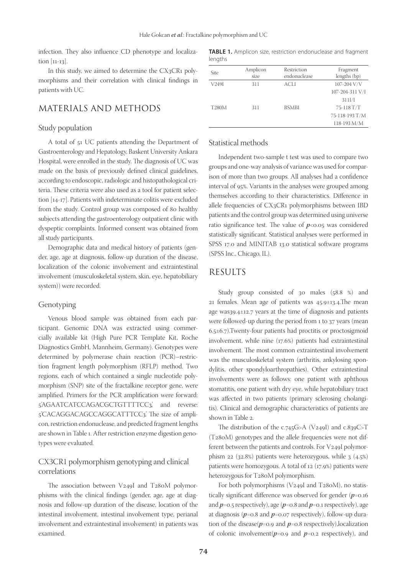infection. They also influence CD phenotype and localization [11-13].

In this study, we aimed to determine the CX3CR1 polymorphisms and their correlation with clinical findings in patients with UC.

## MATERIALS AND METHODS

#### Study population

A total of 51 UC patients attending the Department of Gastroenterology and Hepatology, Baskent University Ankara Hospital, were enrolled in the study. The diagnosis of UC was made on the basis of previously defined clinical guidelines, according to endoscopic, radiologic and histopathological criteria. These criteria were also used as a tool for patient selection [14-17]. Patients with indeterminate colitis were excluded from the study. Control group was composed of 80 healthy subjects attending the gastroenterology outpatient clinic with dyspeptic complaints. Informed consent was obtained from all study participants.

Demographic data and medical history of patients (gender, age, age at diagnosis, follow-up duration of the disease, localization of the colonic involvement and extraintestinal involvement (musculoskeletal system, skin, eye, hepatobiliary system)) were recorded.

#### Genotyping

Venous blood sample was obtained from each participant. Genomic DNA was extracted using commercially available kit (High Pure PCR Template Kit, Roche Diagnostics GmbH, Mannheim, Germany). Genotypes were determined by polymerase chain reaction (PCR)–restriction fragment length polymorphism (RFLP) method. Two regions, each of which contained a single nucleotide polymorphism (SNP) site of the fractalkine receptor gene, were amplified. Primers for the PCR amplification were forward: 5'AGAATCATCCAGACGCTGTTTTCC3', and reverse: 5'CACAGGACAGCCAGGCATTTCC3'. The size of amplicon, restriction endonuclease, and predicted fragment lengths are shown in Table 1. After restriction enzyme digestion genotypes were evaluated.

## CX3CR1 polymorphism genotyping and clinical correlations

The association between V249I and T280M polymorphisms with the clinical findings (gender, age, age at diagnosis and follow-up duration of the disease, location of the intestinal involvement, intestinal involvement type, perianal involvement and extraintestinal involvement) in patients was examined.

**TABLE 1.** Amplicon size, restriction endonuclease and fragment lengths

| Site         | Amplicon<br>size | Restriction<br>endonuclease | Fragment<br>lengths (bp) |
|--------------|------------------|-----------------------------|--------------------------|
| V249I        | 311              | ACLI                        | 107-204 V/V              |
|              |                  |                             | 107-204-311 V/I          |
|              |                  |                             | 311I/I                   |
| <b>T280M</b> | 311              | <b>BSMBI</b>                | 75-118 T/T               |
|              |                  |                             | 75-118-193 T/M           |
|              |                  |                             | 118-193 M/M              |

#### Statistical methods

Independent two-sample t test was used to compare two groups and one-way analysis of variance was used for comparison of more than two groups. All analyses had a confidence interval of 95%. Variants in the analyses were grouped among themselves according to their characteristics. Difference in allele frequencies of CX3CR1 polymorphisms between IBD patients and the control group was determined using universe ratio significance test. The value of  $p<sub>0.05</sub>$  was considered statistically significant. Statistical analyses were performed in SPSS 17.0 and MINITAB 13.0 statistical software programs (SPSS Inc., Chicago, IL).

#### RESULTS

Study group consisted of 30 males (58.8 %) and 21 females. Mean age of patients was 45.9±13.4.The mean age was39.4±12.7 years at the time of diagnosis and patients were followed-up during the period from 1 to 37 years (mean 6.5±6.7).Twenty-four patients had proctitis or proctosigmoid involvement, while nine (17.6%) patients had extraintestinal involvement. The most common extraintestinal involvement was the musculoskeletal system (arthritis, ankylosing spondylitis, other spondyloarthropathies). Other extraintestinal involvements were as follows: one patient with aphthous stomatitis, one patient with dry eye, while hepatobiliary tract was affected in two patients (primary sclerosing cholangitis). Clinical and demographic characteristics of patients are shown in Table 2.

The distribution of the c.745G>A (V249I) and c.839C>T (T280M) genotypes and the allele frequencies were not different between the patients and controls. For V249I polymorphism 22 (32.8%) patients were heterozygous, while 3 (4.5%) patients were homozygous. A total of 12 (17.9%) patients were heterozygous for T280M polymorphism.

For both polymorphisms (V249I and T280M), no statistically significant difference was observed for gender (*p*=0.16 and *p*=0.5 respectively), age (*p*=0.8 and *p*=0.1 respectively), age at diagnosis (*p*=0.8 and *p*=0.07 respectively), follow-up duration of the disease(*p*=0.9 and *p*=0.8 respectively),localization of colonic involvement(*p*=0.9 and *p*=0.2 respectively), and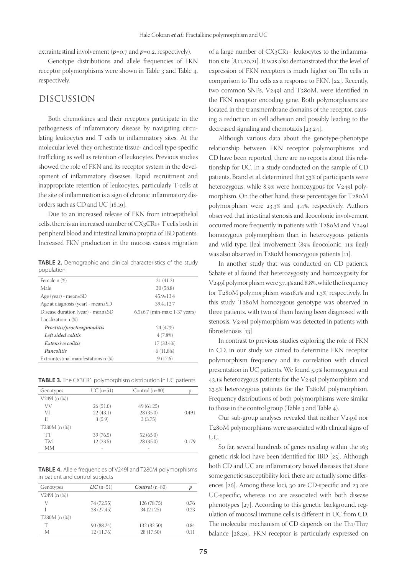extraintestinal involvement (*p*=0.7 and *p*=0.2, respectively).

Genotype distributions and allele frequencies of FKN receptor polymorphisms were shown in Table 3 and Table 4, respectively.

## DISCUSSION

Both chemokines and their receptors participate in the pathogenesis of inflammatory disease by navigating circulating leukocytes and T cells to inflammatory sites. At the molecular level, they orchestrate tissue- and cell type-specific trafficking as well as retention of leukocytes. Previous studies showed the role of FKN and its receptor system in the development of inflammatory diseases. Rapid recruitment and inappropriate retention of leukocytes, particularly T-cells at the site of inflammation is a sign of chronic inflammatory disorders such as CD and UC [18,19].

Due to an increased release of FKN from intraepithelial cells, there is an increased number of CX3CR1+ T cells both in peripheral blood and intestinal lamina propria of IBD patients. Increased FKN production in the mucosa causes migration

**TABLE 2.** Demographic and clinical characteristics of the study population

| Female n (%)                            | 21(41.2)                          |
|-----------------------------------------|-----------------------------------|
| Male                                    | 30(58.8)                          |
| Age (year) - mean $\pm$ SD              | $45.9 + 13.4$                     |
| Age at diagnosis (year) - mean $\pm$ SD | $39.4 + 12.7$                     |
| Disease duration (year) - mean $\pm$ SD | $6.5\pm6.7$ (min-max: 1-37 years) |
| Localization n (%)                      |                                   |
| Proctitis/proctosigmoiditis             | 24 (47%)                          |
| Left sided colitis                      | $4(7.8\%)$                        |
| Extensive colitis                       | 17 (33.4%)                        |
| Pancolitis                              | 6(11.8%)                          |
| Extraintestinal manifestations n (%)    | 9(17.6)                           |

**TABLE 3.** The CX3CR1 polymorphism distribution in UC patients

| Genotypes        | $UC(n=51)$ | Control $(n=80)$ |       |
|------------------|------------|------------------|-------|
| $V249I(n (\%))$  |            |                  |       |
| VV               | 26(51.0)   | 49 (61.25)       |       |
| VI               | 22(43.1)   | 28(35.0)         | 0.491 |
| Н                | 3(5.9)     | 3(3.75)          |       |
| $T280M (n (\%))$ |            |                  |       |
| <b>TT</b>        | 39 (76.5)  | 52(65.0)         |       |
| TM               | 12(23.5)   | 28(35.0)         | 0.179 |
| MМ               |            |                  |       |

**TABLE 4.** Allele frequencies of V249I and T280M polymorphisms in patient and control subjects

| Genotypes        | $UC$ (n=51) | <i>Control</i> $(n=80)$ |      |
|------------------|-------------|-------------------------|------|
| $V249I(n (\%))$  |             |                         |      |
|                  | 74 (72.55)  | 126 (78.75)             | 0.76 |
|                  | 28 (27.45)  | 34(21.25)               | 0.23 |
| $T280M (n (\%))$ |             |                         |      |
| т                | 90 (88.24)  | 132 (82.50)             | 0.84 |
| M                | 12 (11.76)  | 28 (17.50)              | 0.11 |

of a large number of CX3CR1+ leukocytes to the inflammation site [8,11,20,21]. It was also demonstrated that the level of expression of FKN receptors is much higher on Th1 cells in comparison to Th2 cells as a response to FKN. [22]. Recently, two common SNPs, V249I and T280M, were identified in the FKN receptor encoding gene. Both polymorphisms are located in the transmembrane domains of the receptor, causing a reduction in cell adhesion and possibly leading to the decreased signaling and chemotaxis [23,24].

Although various data about the genotype-phenotype relationship between FKN receptor polymorphisms and CD have been reported, there are no reports about this relationship for UC. In a study conducted on the sample of CD patients, Brand et al. determined that 33% of participants were heterozygous, while 8.9% were homozygous for V249I polymorphism. On the other hand, these percentages for T280M polymorphism were 23.3% and 4.4%, respectively. Authors observed that intestinal stenosis and ileocolonic involvement occurred more frequently in patients with T280M and V249I homozygous polymorphism than in heterozygous patients and wild type. Ileal involvement (89% ileocolonic, 11% ileal) was also observed in T280M homozygous patients [11].

In another study that was conducted on CD patients, Sabate et al found that heterozygosity and homozygosity for V249I polymorphism were 37.4% and 8.8%, while the frequency for T280M polymorphism was18.1% and 1.3%, respectively. In this study, T280M homozygous genotype was observed in three patients, with two of them having been diagnosed with stenosis. V249I polymorphism was detected in patients with fibrostenosis [13].

In contrast to previous studies exploring the role of FKN in CD, in our study we aimed to determine FKN receptor polymorphism frequency and its correlation with clinical presentation in UC patients. We found 5.9% homozygous and 43.1% heterozygous patients for the V249I polymorphism and 23.5% heterozygous patients for the T280M polymorphism. Frequency distributions of both polymorphisms were similar to those in the control group (Table 3 and Table 4).

Our sub-group analyses revealed that neither V249I nor T280M polymorphisms were associated with clinical signs of UC.

So far, several hundreds of genes residing within the 163 genetic risk loci have been identified for IBD [25]. Although both CD and UC are inflammatory bowel diseases that share some genetic susceptibility loci, there are actually some differences [26]. Among these loci, 30 are CD-specific and 23 are UC-specific, whereas 110 are associated with both disease phenotypes [27]. According to this genetic background, regulation of mucosal immune cells is different in UC from CD. The molecular mechanism of CD depends on the Th1/Th17 balance [28,29]. FKN receptor is particularly expressed on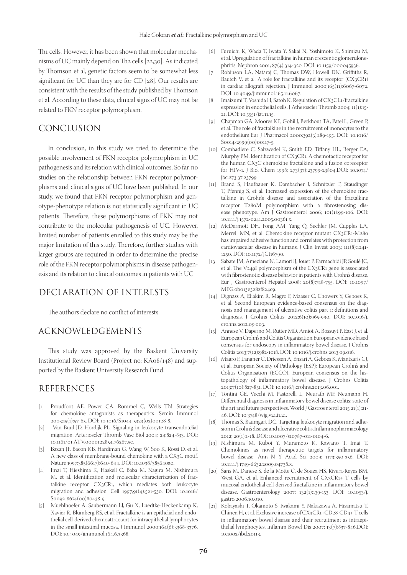Th<sub>1</sub> cells. However, it has been shown that molecular mechanisms of UC mainly depend on Th2 cells [22,30]. As indicated by Thomson et al, genetic factors seem to be somewhat less significant for UC than they are for CD [28]. Our results are consistent with the results of the study published by Thomson et al. According to these data, clinical signs of UC may not be related to FKN receptor polymorphism.

## CONCLUSION

In conclusion, in this study we tried to determine the possible involvement of FKN receptor polymorphism in UC pathogenesis and its relation with clinical outcomes. So far, no studies on the relationship between FKN receptor polymorphisms and clinical signs of UC have been published. In our study, we found that FKN receptor polymorphism and genotype-phenotype relation is not statistically significant in UC patients. Therefore, these polymorphisms of FKN may not contribute to the molecular pathogenesis of UC. However, limited number of patients enrolled to this study may be the major limitation of this study. Therefore, further studies with larger groups are required in order to determine the precise role of the FKN receptor polymorphisms in disease pathogenesis and its relation to clinical outcomes in patients with UC.

## DECLARATION OF INTERESTS

The authors declare no conflict of interests.

## ACKNOWLEDGEMENTS

This study was approved by the Baskent University Institutional Review Board (Project no: KA08/148) and supported by the Baskent University Research Fund.

## REFERENCES

- [1] Proudfoot AE, Power CA, Rommel C, Wells TN. Strategies for chemokine antagonists as therapeutics. Semin Immunol 2003;15(1):57-65. DOI: 10.1016/S1044-5323(02)00128-8.
- [2] Van Buul JD, Hordijk PL. Signaling in leukocyte transendotelial migration. Arterioscler Thromb Vasc Biol 2004; 24:824-833. DOI: 10.1161/01.ATV.0000122854.76267.5c.
- [3] Bazan JF, Bacon KB, Hardiman G, Wang W, Soo K, Rossi D, et al. A new class of membrane-bound chemokine with a CX3C motif. Nature 1997;385(6617):640-644. DOI: 10.1038/385640a0.
- [4] Imai T, Hieshima K, Haskell C, Baba M, Nagira M, Nishimura M, et al. Identification and molecular characterization of fractalkine receptor CX3CR1, which mediates both leukocyte migration and adhesion. Cell 1997;91(4):521-530. DOI: 10.1016/ S0092-8674(00)80438-9.
- [5] Muehlhoefer A, Saubermann LJ, Gu X, Luedtke-Heckenkamp K, Xavier R, Blumberg RS, et al. Fractalkine is an epithelial and endothelial cell-derived chemoattractant for intraepithelial lymphocytes in the small intestinal mucosa. J Immunol 2000;164(6):3368-3376. DOI: 10.4049/jimmunol.164.6.3368.
- [6] Furuichi K, Wada T, Iwata Y, Sakai N, Yoshimoto K, Shimizu M, et al. Upregulation of fractalkine in human crescentic glomerulonephritis. Nephron 2001; 87(4):314-320. DOI: 10.1159/000045936.
- [7] Robinson LA, Nataraj C, Thomas DW, Howell DN, Griffiths R, Bautch V, et al. A role for fractalkine and its receptor  $(CX_3CR_1)$ in cardiac allograft rejection. J Immunol 2000;165(11):6067-6072. DOI: 10.4049/jimmunol.165.11.6067.
- [8] Imaizumi T, Yoshida H, Satoh K. Regulation of CX3CL1/fractalkine expression in endothelial cells. J Atheroscler Thromb 2004; 11(1):15- 21. DOI: 10.5551/jat.11.15.
- [9] Chapman GA, Moores KE, Gohil J, Berkhout TA, Patel L, Green P, et al. The role of fractalkine in the recruitment of monocytes to the endothelium.Eur J Pharmacol 2000;392(3):189-195. DOI: 10.1016/ S0014-2999(00)00117-5.
- [10] Combadiere C, Salzwedel K, Smith ED, Tiffany HL, Berger EA, Murphy PM. Identification of CX3CR1. A chemotactic receptor for the human CX3C chemokine fractalkine and a fusion coreceptor for HIV-1. J Biol Chem 1998; 273(37):23799-23804.DOI: 10.1074/ jbc.273.37.23799.
- [11] Brand S, Haufbauer K, Dambacher J, Schnitzler F, Staudinger T, Pfennig S, et al. Increased expression of the chemokine fractalkine in Crohn's disease and association of the fractalkine receptor T280M polymorphism with a fibrostenosing disease phenotype. Am J Gastroenterol 2006; 101(1):99-106. DOI: 10.1111/j.1572-0241.2005.00361.x.
- [12] McDermott DH, Fong AM, Yang Q, Sechler JM, Cupples LA, Merrell MN, et al. Chemokine receptor mutant CX3CR1-M280 has impaired adhesive function and correlates with protection from cardiovascular disease in humans. J Clin Invest 2003; 111(8):1241- 1250. DOI: 10.1172/JCI16790.
- [13] Sabate JM, Ameziane N, Lamoril J, Jouet P, Farmachidi JP, Soulé JC, et al. The V249I polymorphism of the CX3CR1 gene is associated with fibrostenotic disease behavior in patients with Crohn's disease. Eur J Gastroenterol Hepatol 2008; 20(8):748-755. DOI: 10.1097/ MEG.0b013e3282f824c9.
- [14] Dignass A, Eliakim R, Magro F, Maaser C, Chowers Y, Geboes K, et al. Second European evidence-based consensus on the diagnosis and management of ulcerative colitis part 1: definitions and diagnosis. J Crohns Colitis 2012;6(10):965-990. DOI: 10.1016/j. crohns.2012.09.003.
- [15] Annese V, Daperno M, Rutter MD, Amiot A, Bossuyt P, East J, et al. European Crohn's and Colitis Organisation.European evidence based consensus for endoscopy in inflammatory bowel disease. J Crohns Colitis 2013;7(12):982-1018. DOI: 10.1016/j.crohns.2013.09.016.
- [16] Magro F, Langner C, Driessen A, Ensari A, Geboes K, Mantzaris GJ, et al. European Society of Pathology (ESP); European Crohn's and Colitis Organisation (ECCO). European consensus on the histopathology of inflammatory bowel disease. J Crohns Colitis 2013;7(10):827-851. DOI: 10.1016/j.crohns.2013.06.001.
- [17] Tontini GE, Vecchi M, Pastorelli L, Neurath MF, Neumann H. Differential diagnosis in inflammatory bowel disease colitis: state of the art and future perspectives. World J Gastroenterol 2015;21(1):21- 46. DOI: 10.3748/wjg.v21.i1.21.
- [18] Thomas S, Baumgart DC. Targeting leukocyte migration and adhesion in Crohn's disease and ulcerative colitis. Inflammopharmacology 2012; 20(1):1-18. DOI: 10.1007/s10787-011-0104-6.
- [19] Nishimura M, Kuboi Y, Muramoto K, Kawano T, Imai T. Chemokines as novel therapeutic targets for inflammatory bowel disease. Ann N Y Acad Sci 2009; 1173:350-356. DOI: 10.1111/j.1749-6632.2009.04738.x.
- [20] Sans M, Danese S, de la Motte C, de Souza HS, Rivera-Reyes BM, West GA, et al. Enhanced recruitment of CX3CR1+ T cells by mucosal endothelial cell-derived fractalkine in inflammatory bowel disease. Gastroenterology 2007; 132(1):139-153. DOI: 10.1053/j. gastro.2006.10.010.
- [21] Kobayashi T, Okamoto S, Iwakami Y, Nakazawa A, Hisamatsu T, Chinen H, et al. Exclusive increase of CX3CR1+CD28-CD4+ T cells in inflammatory bowel disease and their recruitment as intraepithelial lymphocytes. Inflamm Bowel Dis 2007; 13(7):837-846.DOI: 10.1002/ibd.20113.